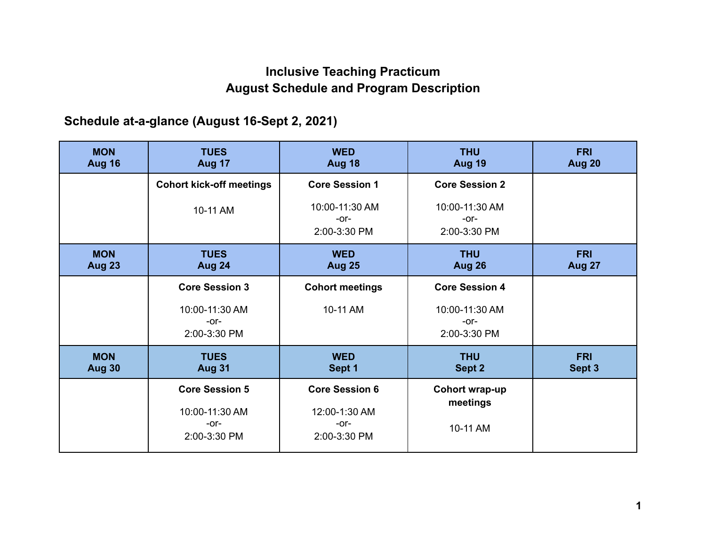# **Inclusive Teaching Practicum August Schedule and Program Description**

# **Schedule at-a-glance (August 16-Sept 2, 2021)**

| <b>MON</b><br><b>Aug 16</b> | <b>TUES</b><br>Aug 17                    | <b>WED</b><br><b>Aug 18</b>              | <b>THU</b><br><b>Aug 19</b>              | <b>FRI</b><br><b>Aug 20</b> |
|-----------------------------|------------------------------------------|------------------------------------------|------------------------------------------|-----------------------------|
|                             | <b>Cohort kick-off meetings</b>          | <b>Core Session 1</b>                    | <b>Core Session 2</b>                    |                             |
|                             | 10-11 AM                                 | 10:00-11:30 AM<br>$-0r-$<br>2:00-3:30 PM | 10:00-11:30 AM<br>$-0r-$<br>2:00-3:30 PM |                             |
| <b>MON</b><br><b>Aug 23</b> | <b>TUES</b><br>Aug 24                    | <b>WED</b><br><b>Aug 25</b>              | <b>THU</b><br><b>Aug 26</b>              | <b>FRI</b><br><b>Aug 27</b> |
|                             | <b>Core Session 3</b>                    | <b>Cohort meetings</b>                   | <b>Core Session 4</b>                    |                             |
|                             | 10:00-11:30 AM<br>$-0r-$<br>2:00-3:30 PM | 10-11 AM                                 | 10:00-11:30 AM<br>-or-<br>2:00-3:30 PM   |                             |
| <b>MON</b><br><b>Aug 30</b> | <b>TUES</b><br><b>Aug 31</b>             | <b>WED</b><br>Sept 1                     | <b>THU</b><br>Sept 2                     | <b>FRI</b><br>Sept 3        |
|                             | <b>Core Session 5</b>                    | <b>Core Session 6</b>                    | <b>Cohort wrap-up</b>                    |                             |
|                             | 10:00-11:30 AM<br>$-0r-$<br>2:00-3:30 PM | 12:00-1:30 AM<br>$-0r-$<br>2:00-3:30 PM  | meetings<br>10-11 AM                     |                             |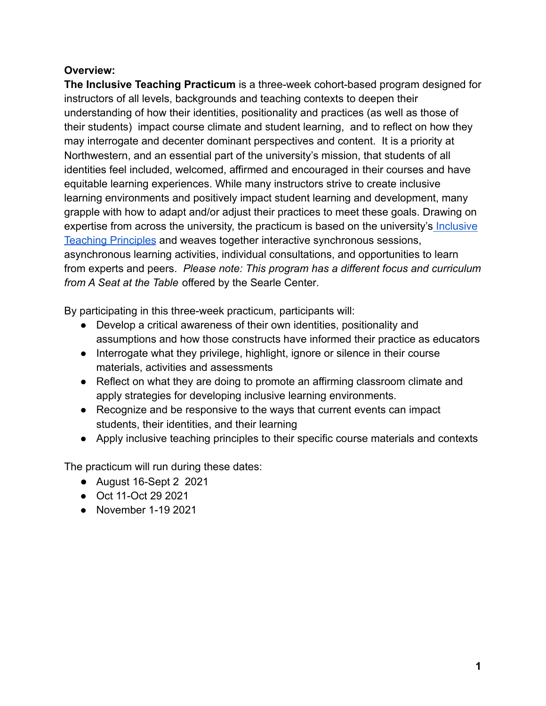### **Overview:**

**The Inclusive Teaching Practicum** is a three-week cohort-based program designed for instructors of all levels, backgrounds and teaching contexts to deepen their understanding of how their identities, positionality and practices (as well as those of their students) impact course climate and student learning, and to reflect on how they may interrogate and decenter dominant perspectives and content. It is a priority at Northwestern, and an essential part of the university's mission, that students of all identities feel included, welcomed, affirmed and encouraged in their courses and have equitable learning experiences. While many instructors strive to create inclusive learning environments and positively impact student learning and development, many grapple with how to adapt and/or adjust their practices to meet these goals. Drawing on expertise from across the university, the practicum is based on the university's [Inclusive](https://www.northwestern.edu/searle/initiatives/diversity-equity-inclusion/inclusive-teaching/index.html) [Teaching Principles](https://www.northwestern.edu/searle/initiatives/diversity-equity-inclusion/inclusive-teaching/index.html) and weaves together interactive synchronous sessions, asynchronous learning activities, individual consultations, and opportunities to learn from experts and peers. *Please note: This program has a different focus and curriculum from A Seat at the Table* offered by the Searle Center*.*

By participating in this three-week practicum, participants will:

- Develop a critical awareness of their own identities, positionality and assumptions and how those constructs have informed their practice as educators
- Interrogate what they privilege, highlight, ignore or silence in their course materials, activities and assessments
- Reflect on what they are doing to promote an affirming classroom climate and apply strategies for developing inclusive learning environments.
- Recognize and be responsive to the ways that current events can impact students, their identities, and their learning
- Apply inclusive teaching principles to their specific course materials and contexts

The practicum will run during these dates:

- August 16-Sept 2 2021
- Oct 11-Oct 29 2021
- November 1-19 2021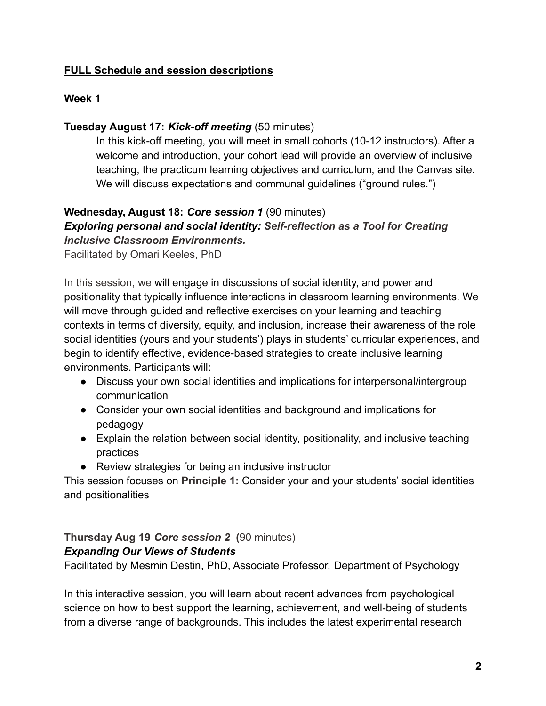### **FULL Schedule and session descriptions**

#### **Week 1**

### **Tuesday August 17:** *Kick-off meeting* (50 minutes)

In this kick-off meeting, you will meet in small cohorts (10-12 instructors). After a welcome and introduction, your cohort lead will provide an overview of inclusive teaching, the practicum learning objectives and curriculum, and the Canvas site. We will discuss expectations and communal guidelines ("ground rules.")

### **Wednesday, August 18:** *Core session 1* (90 minutes)

### *Exploring personal and social identity: Self-reflection as a Tool for Creating Inclusive Classroom Environments.*

Facilitated by Omari Keeles, PhD

In this session, we will engage in discussions of social identity, and power and positionality that typically influence interactions in classroom learning environments. We will move through guided and reflective exercises on your learning and teaching contexts in terms of diversity, equity, and inclusion, increase their awareness of the role social identities (yours and your students') plays in students' curricular experiences, and begin to identify effective, evidence-based strategies to create inclusive learning environments. Participants will:

- Discuss your own social identities and implications for interpersonal/intergroup communication
- Consider your own social identities and background and implications for pedagogy
- Explain the relation between social identity, positionality, and inclusive teaching practices
- Review strategies for being an inclusive instructor

This session focuses on **Principle 1:** Consider your and your students' social identities and positionalities

## **Thursday Aug 19** *Core session 2* **(**90 minutes) *Expanding Our Views of Students*

Facilitated by Mesmin Destin, PhD, Associate Professor, Department of Psychology

In this interactive session, you will learn about recent advances from psychological science on how to best support the learning, achievement, and well-being of students from a diverse range of backgrounds. This includes the latest experimental research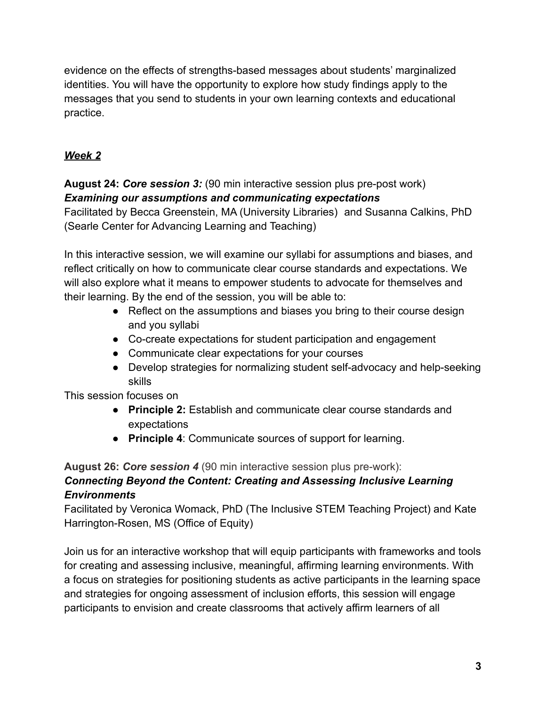evidence on the effects of strengths-based messages about students' marginalized identities. You will have the opportunity to explore how study findings apply to the messages that you send to students in your own learning contexts and educational practice.

# *Week 2*

# **August 24:** *Core session 3:* (90 min interactive session plus pre-post work) *Examining our assumptions and communicating expectations*

Facilitated by Becca Greenstein, MA (University Libraries) and Susanna Calkins, PhD (Searle Center for Advancing Learning and Teaching)

In this interactive session, we will examine our syllabi for assumptions and biases, and reflect critically on how to communicate clear course standards and expectations. We will also explore what it means to empower students to advocate for themselves and their learning. By the end of the session, you will be able to:

- Reflect on the assumptions and biases you bring to their course design and you syllabi
- Co-create expectations for student participation and engagement
- Communicate clear expectations for your courses
- Develop strategies for normalizing student self-advocacy and help-seeking skills

This session focuses on

- **Principle 2:** Establish and communicate clear course standards and expectations
- **Principle 4**: Communicate sources of support for learning.

### **August 26:** *Core session 4* (90 min interactive session plus pre-work): *Connecting Beyond the Content: Creating and Assessing Inclusive Learning Environments*

Facilitated by Veronica Womack, PhD (The Inclusive STEM Teaching Project) and Kate Harrington-Rosen, MS (Office of Equity)

Join us for an interactive workshop that will equip participants with frameworks and tools for creating and assessing inclusive, meaningful, affirming learning environments. With a focus on strategies for positioning students as active participants in the learning space and strategies for ongoing assessment of inclusion efforts, this session will engage participants to envision and create classrooms that actively affirm learners of all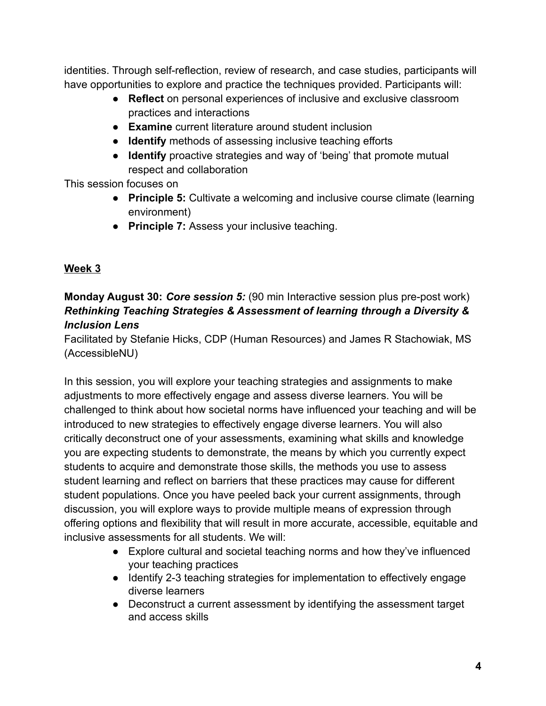identities. Through self-reflection, review of research, and case studies, participants will have opportunities to explore and practice the techniques provided. Participants will:

- **Reflect** on personal experiences of inclusive and exclusive classroom practices and interactions
- **Examine** current literature around student inclusion
- **Identify** methods of assessing inclusive teaching efforts
- **Identify** proactive strategies and way of 'being' that promote mutual respect and collaboration

This session focuses on

- **Principle 5:** Cultivate a welcoming and inclusive course climate (learning environment)
- **Principle 7:** Assess your inclusive teaching.

# **Week 3**

## **Monday August 30:** *Core session 5:* (90 min Interactive session plus pre-post work) *Rethinking Teaching Strategies & Assessment of learning through a Diversity & Inclusion Lens*

Facilitated by Stefanie Hicks, CDP (Human Resources) and James R Stachowiak, MS (AccessibleNU)

In this session, you will explore your teaching strategies and assignments to make adjustments to more effectively engage and assess diverse learners. You will be challenged to think about how societal norms have influenced your teaching and will be introduced to new strategies to effectively engage diverse learners. You will also critically deconstruct one of your assessments, examining what skills and knowledge you are expecting students to demonstrate, the means by which you currently expect students to acquire and demonstrate those skills, the methods you use to assess student learning and reflect on barriers that these practices may cause for different student populations. Once you have peeled back your current assignments, through discussion, you will explore ways to provide multiple means of expression through offering options and flexibility that will result in more accurate, accessible, equitable and inclusive assessments for all students. We will:

- Explore cultural and societal teaching norms and how they've influenced your teaching practices
- Identify 2-3 teaching strategies for implementation to effectively engage diverse learners
- Deconstruct a current assessment by identifying the assessment target and access skills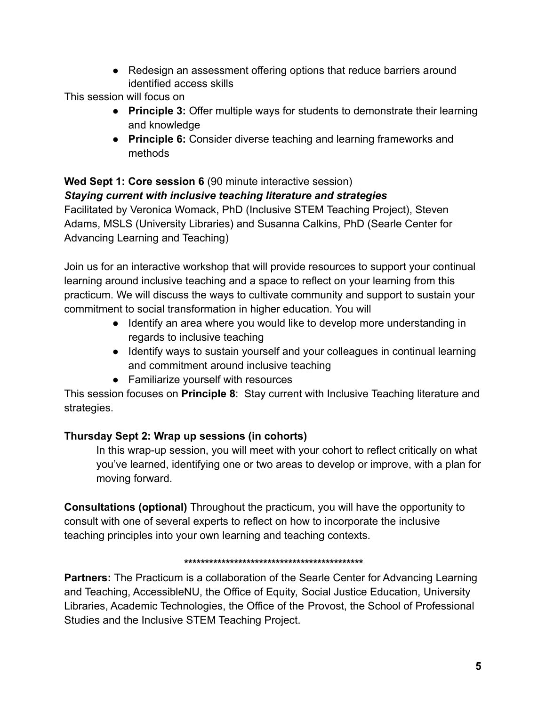• Redesign an assessment offering options that reduce barriers around identified access skills

This session will focus on

- **Principle 3:** Offer multiple ways for students to demonstrate their learning and knowledge
- **Principle 6:** Consider diverse teaching and learning frameworks and methods

## **Wed Sept 1: Core session 6** (90 minute interactive session)

### *Staying current with inclusive teaching literature and strategies*

Facilitated by Veronica Womack, PhD (Inclusive STEM Teaching Project), Steven Adams, MSLS (University Libraries) and Susanna Calkins, PhD (Searle Center for Advancing Learning and Teaching)

Join us for an interactive workshop that will provide resources to support your continual learning around inclusive teaching and a space to reflect on your learning from this practicum. We will discuss the ways to cultivate community and support to sustain your commitment to social transformation in higher education. You will

- Identify an area where you would like to develop more understanding in regards to inclusive teaching
- Identify ways to sustain yourself and your colleagues in continual learning and commitment around inclusive teaching
- Familiarize yourself with resources

This session focuses on **Principle 8**: Stay current with Inclusive Teaching literature and strategies.

# **Thursday Sept 2: Wrap up sessions (in cohorts)**

In this wrap-up session, you will meet with your cohort to reflect critically on what you've learned, identifying one or two areas to develop or improve, with a plan for moving forward.

**Consultations (optional)** Throughout the practicum, you will have the opportunity to consult with one of several experts to reflect on how to incorporate the inclusive teaching principles into your own learning and teaching contexts.

#### *\*\*\*\*\*\*\*\*\*\*\*\*\*\*\*\*\*\*\*\*\*\*\*\*\*\*\*\*\*\*\*\*\*\*\*\*\*\*\*\*\*\*\**

**Partners:** The Practicum is a collaboration of the Searle Center for Advancing Learning and Teaching, AccessibleNU, the Office of Equity, Social Justice Education, University Libraries, Academic Technologies, the Office of the Provost, the School of Professional Studies and the Inclusive STEM Teaching Project.